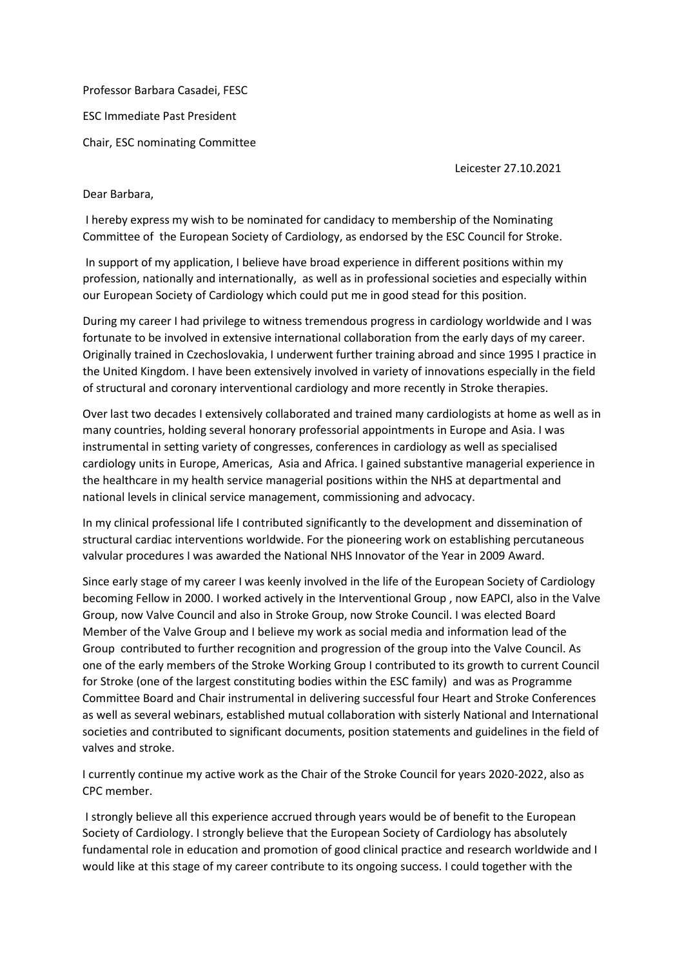Professor Barbara Casadei, FESC ESC Immediate Past President Chair, ESC nominating Committee

Leicester 27.10.2021

## Dear Barbara,

I hereby express my wish to be nominated for candidacy to membership of the Nominating Committee of the European Society of Cardiology, as endorsed by the ESC Council for Stroke.

In support of my application, I believe have broad experience in different positions within my profession, nationally and internationally, as well as in professional societies and especially within our European Society of Cardiology which could put me in good stead for this position.

During my career I had privilege to witness tremendous progress in cardiology worldwide and I was fortunate to be involved in extensive international collaboration from the early days of my career. Originally trained in Czechoslovakia, I underwent further training abroad and since 1995 I practice in the United Kingdom. I have been extensively involved in variety of innovations especially in the field of structural and coronary interventional cardiology and more recently in Stroke therapies.

Over last two decades I extensively collaborated and trained many cardiologists at home as well as in many countries, holding several honorary professorial appointments in Europe and Asia. I was instrumental in setting variety of congresses, conferences in cardiology as well as specialised cardiology units in Europe, Americas, Asia and Africa. I gained substantive managerial experience in the healthcare in my health service managerial positions within the NHS at departmental and national levels in clinical service management, commissioning and advocacy.

In my clinical professional life I contributed significantly to the development and dissemination of structural cardiac interventions worldwide. For the pioneering work on establishing percutaneous valvular procedures I was awarded the National NHS Innovator of the Year in 2009 Award.

Since early stage of my career I was keenly involved in the life of the European Society of Cardiology becoming Fellow in 2000. I worked actively in the Interventional Group , now EAPCI, also in the Valve Group, now Valve Council and also in Stroke Group, now Stroke Council. I was elected Board Member of the Valve Group and I believe my work as social media and information lead of the Group contributed to further recognition and progression of the group into the Valve Council. As one of the early members of the Stroke Working Group I contributed to its growth to current Council for Stroke (one of the largest constituting bodies within the ESC family) and was as Programme Committee Board and Chair instrumental in delivering successful four Heart and Stroke Conferences as well as several webinars, established mutual collaboration with sisterly National and International societies and contributed to significant documents, position statements and guidelines in the field of valves and stroke.

I currently continue my active work as the Chair of the Stroke Council for years 2020-2022, also as CPC member.

I strongly believe all this experience accrued through years would be of benefit to the European Society of Cardiology. I strongly believe that the European Society of Cardiology has absolutely fundamental role in education and promotion of good clinical practice and research worldwide and I would like at this stage of my career contribute to its ongoing success. I could together with the